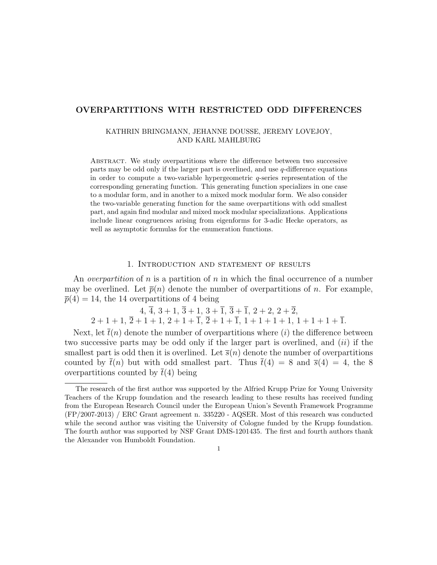# OVERPARTITIONS WITH RESTRICTED ODD DIFFERENCES

### KATHRIN BRINGMANN, JEHANNE DOUSSE, JEREMY LOVEJOY, AND KARL MAHLBURG

Abstract. We study overpartitions where the difference between two successive parts may be odd only if the larger part is overlined, and use q-difference equations in order to compute a two-variable hypergeometric q-series representation of the corresponding generating function. This generating function specializes in one case to a modular form, and in another to a mixed mock modular form. We also consider the two-variable generating function for the same overpartitions with odd smallest part, and again find modular and mixed mock modular specializations. Applications include linear congruences arising from eigenforms for 3-adic Hecke operators, as well as asymptotic formulas for the enumeration functions.

### 1. Introduction and statement of results

An *overpartition* of n is a partition of n in which the final occurrence of a number may be overlined. Let  $\bar{p}(n)$  denote the number of overpartitions of n. For example,  $\overline{p}(4) = 14$ , the 14 overpartitions of 4 being

 $4, \overline{4}, 3 + 1, \overline{3} + 1, 3 + \overline{1}, \overline{3} + \overline{1}, 2 + 2, 2 + \overline{2},$  $2+1+1$ ,  $\overline{2}+1+1$ ,  $2+1+1$ ,  $\overline{2}+1+1$ ,  $\overline{2}+1+1$ ,  $1+1+1+1$ ,  $1+1+1+1$ .

Next, let  $\bar{t}(n)$  denote the number of overpartitions where (i) the difference between two successive parts may be odd only if the larger part is overlined, and  $(ii)$  if the smallest part is odd then it is overlined. Let  $\bar{s}(n)$  denote the number of overpartitions counted by  $\bar{t}(n)$  but with odd smallest part. Thus  $\bar{t}(4) = 8$  and  $\bar{s}(4) = 4$ , the 8 overpartitions counted by  $\bar{t}(4)$  being

The research of the first author was supported by the Alfried Krupp Prize for Young University Teachers of the Krupp foundation and the research leading to these results has received funding from the European Research Council under the European Union's Seventh Framework Programme (FP/2007-2013) / ERC Grant agreement n. 335220 - AQSER. Most of this research was conducted while the second author was visiting the University of Cologne funded by the Krupp foundation. The fourth author was supported by NSF Grant DMS-1201435. The first and fourth authors thank the Alexander von Humboldt Foundation.

<sup>1</sup>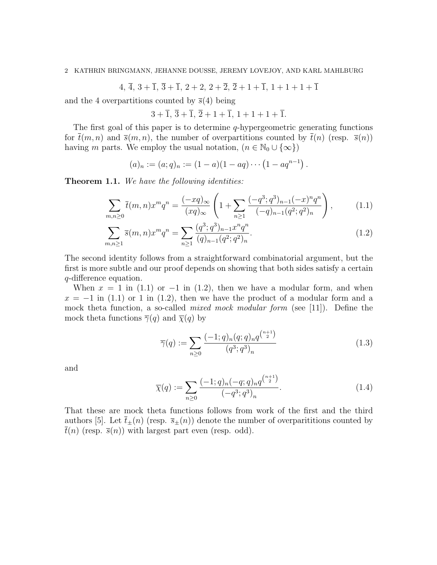$4, \overline{4}, 3 + \overline{1}, \overline{3} + \overline{1}, 2 + 2, 2 + \overline{2}, \overline{2} + 1 + \overline{1}, 1 + 1 + 1 + \overline{1}$ 

and the 4 overpartitions counted by  $\bar{s}(4)$  being

 $3 + \overline{1}, \overline{3} + \overline{1}, \overline{2} + 1 + \overline{1}, 1 + 1 + 1 + \overline{1}.$ 

The first goal of this paper is to determine  $q$ -hypergeometric generating functions for  $\bar{t}(m, n)$  and  $\bar{s}(m, n)$ , the number of overpartitions counted by  $\bar{t}(n)$  (resp.  $\bar{s}(n)$ ) having m parts. We employ the usual notation,  $(n \in \mathbb{N}_0 \cup \{\infty\})$ 

$$
(a)_n := (a;q)_n := (1-a)(1-aq) \cdots (1-aq^{n-1}).
$$

**Theorem 1.1.** We have the following identities:

$$
\sum_{m,n\geq 0} \bar{t}(m,n)x^m q^n = \frac{(-xq)_{\infty}}{(xq)_{\infty}} \left(1 + \sum_{n\geq 1} \frac{(-q^3;q^3)_{n-1}(-x)^n q^n}{(-q)_{n-1}(q^2;q^2)_n}\right),\tag{1.1}
$$

$$
\sum_{m,n\geq 1} \overline{s}(m,n)x^m q^n = \sum_{n\geq 1} \frac{(q^3;q^3)_{n-1}x^n q^n}{(q)_{n-1}(q^2;q^2)_n}.
$$
\n(1.2)

The second identity follows from a straightforward combinatorial argument, but the first is more subtle and our proof depends on showing that both sides satisfy a certain q-difference equation.

When  $x = 1$  in (1.1) or  $-1$  in (1.2), then we have a modular form, and when  $x = -1$  in (1.1) or 1 in (1.2), then we have the product of a modular form and a mock theta function, a so-called *mixed mock modular form* (see [11]). Define the mock theta functions  $\overline{\gamma}(q)$  and  $\overline{\chi}(q)$  by

$$
\overline{\gamma}(q) := \sum_{n\geq 0} \frac{(-1;q)_n (q;q)_n q^{\binom{n+1}{2}}}{(q^3;q^3)_n} \tag{1.3}
$$

and

$$
\overline{\chi}(q) := \sum_{n \ge 0} \frac{(-1;q)_n(-q;q)_n q^{\binom{n+1}{2}}}{(-q^3;q^3)_n}.
$$
\n(1.4)

That these are mock theta functions follows from work of the first and the third authors [5]. Let  $\bar{t}_{\pm}(n)$  (resp.  $\bar{s}_{\pm}(n)$ ) denote the number of overparititions counted by  $\bar{t}(n)$  (resp.  $\bar{s}(n)$ ) with largest part even (resp. odd).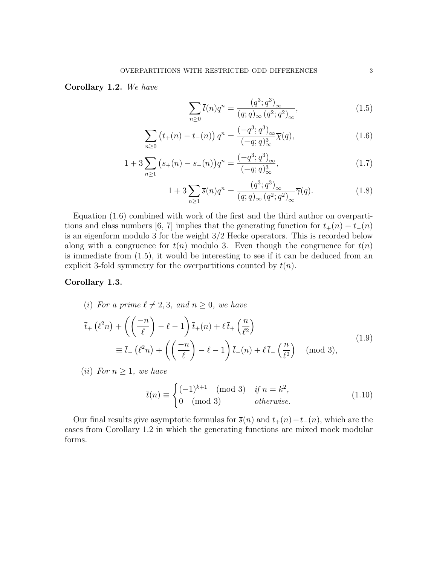Corollary 1.2. We have

$$
\sum_{n>0} \bar{t}(n)q^n = \frac{(q^3;q^3)_{\infty}}{(q;q)_{\infty}(q^2;q^2)_{\infty}},
$$
\n(1.5)

$$
\sum_{n\geq 0} \left(\bar{t}_+(n) - \bar{t}_-(n)\right) q^n = \frac{(-q^3; q^3)_{\infty}}{(-q; q)^3_{\infty}} \overline{\chi}(q),\tag{1.6}
$$

$$
1 + 3\sum_{n\geq 1} \left(\overline{s}_{+}(n) - \overline{s}_{-}(n)\right) q^{n} = \frac{\left(-q^{3}; q^{3}\right)_{\infty}}{\left(-q; q\right)_{\infty}^{3}},\tag{1.7}
$$

$$
1 + 3\sum_{n\geq 1} \overline{s}(n)q^n = \frac{(q^3;q^3)_{\infty}}{(q;q)_{\infty}(q^2;q^2)_{\infty}}\overline{\gamma}(q). \tag{1.8}
$$

Equation (1.6) combined with work of the first and the third author on overpartitions and class numbers [6, 7] implies that the generating function for  $\bar{t}_+(n) - \bar{t}_-(n)$ is an eigenform modulo 3 for the weight 3/2 Hecke operators. This is recorded below along with a congruence for  $\bar{t}(n)$  modulo 3. Even though the congruence for  $\bar{t}(n)$ is immediate from (1.5), it would be interesting to see if it can be deduced from an explicit 3-fold symmetry for the overpartitions counted by  $t(n)$ .

## Corollary 1.3.

(i) For a prime  $\ell \neq 2, 3$ , and  $n \geq 0$ , we have

$$
\overline{t}_{+}\left(\ell^{2}n\right) + \left(\left(\frac{-n}{\ell}\right) - \ell - 1\right)\overline{t}_{+}(n) + \ell\,\overline{t}_{+}\left(\frac{n}{\ell^{2}}\right) \n\equiv \overline{t}_{-}\left(\ell^{2}n\right) + \left(\left(\frac{-n}{\ell}\right) - \ell - 1\right)\overline{t}_{-}(n) + \ell\,\overline{t}_{-}\left(\frac{n}{\ell^{2}}\right) \pmod{3},
$$
\n(1.9)

(*ii*) For  $n \geq 1$ , we have

$$
\bar{t}(n) \equiv \begin{cases}\n(-1)^{k+1} \pmod{3} & \text{if } n = k^2, \\
0 \pmod{3} & \text{otherwise.} \n\end{cases}
$$
\n(1.10)

Our final results give asymptotic formulas for  $\bar{s}(n)$  and  $\bar{t}_+(n)-\bar{t}_-(n)$ , which are the cases from Corollary 1.2 in which the generating functions are mixed mock modular forms.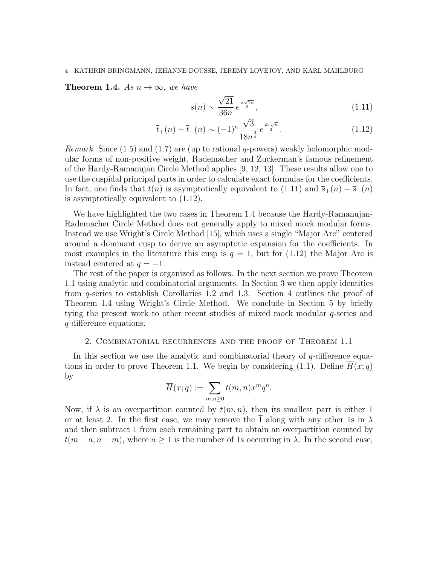**Theorem 1.4.** As  $n \to \infty$ , we have

$$
\overline{s}(n) \sim \frac{\sqrt{21}}{36n} e^{\frac{\pi\sqrt{7n}}{3}},\tag{1.11}
$$

$$
\bar{t}_{+}(n) - \bar{t}_{-}(n) \sim (-1)^{n} \frac{\sqrt{3}}{18n^{\frac{3}{4}}} e^{\frac{2\pi\sqrt{n}}{3}}.
$$
\n(1.12)

Remark. Since (1.5) and (1.7) are (up to rational q-powers) weakly holomorphic modular forms of non-positive weight, Rademacher and Zuckerman's famous refinement of the Hardy-Ramanujan Circle Method applies [9, 12, 13]. These results allow one to use the cuspidal principal parts in order to calculate exact formulas for the coefficients. In fact, one finds that  $\bar{t}(n)$  is asymptotically equivalent to (1.11) and  $\bar{s}_+(n) - \bar{s}_-(n)$ is asymptotically equivalent to (1.12).

We have highlighted the two cases in Theorem 1.4 because the Hardy-Ramanujan-Rademacher Circle Method does not generally apply to mixed mock modular forms. Instead we use Wright's Circle Method [15], which uses a single "Major Arc" centered around a dominant cusp to derive an asymptotic expansion for the coefficients. In most examples in the literature this cusp is  $q = 1$ , but for (1.12) the Major Arc is instead centered at  $q = -1$ .

The rest of the paper is organized as follows. In the next section we prove Theorem 1.1 using analytic and combinatorial arguments. In Section 3 we then apply identities from q-series to establish Corollaries 1.2 and 1.3. Section 4 outlines the proof of Theorem 1.4 using Wright's Circle Method. We conclude in Section 5 by briefly tying the present work to other recent studies of mixed mock modular q-series and q-difference equations.

### 2. Combinatorial recurrences and the proof of Theorem 1.1

In this section we use the analytic and combinatorial theory of  $q$ -difference equations in order to prove Theorem 1.1. We begin by considering (1.1). Define  $\overline{H}(x; q)$ by

$$
\overline{H}(x;q):=\sum_{m,n\geq 0}\overline{t}(m,n)x^mq^n.
$$

Now, if  $\lambda$  is an overpartition counted by  $\bar{t}(m, n)$ , then its smallest part is either  $\bar{1}$ or at least 2. In the first case, we may remove the  $\overline{1}$  along with any other 1s in  $\lambda$ and then subtract 1 from each remaining part to obtain an overpartition counted by  $\overline{t}(m-a, n-m)$ , where  $a \ge 1$  is the number of 1s occurring in  $\lambda$ . In the second case,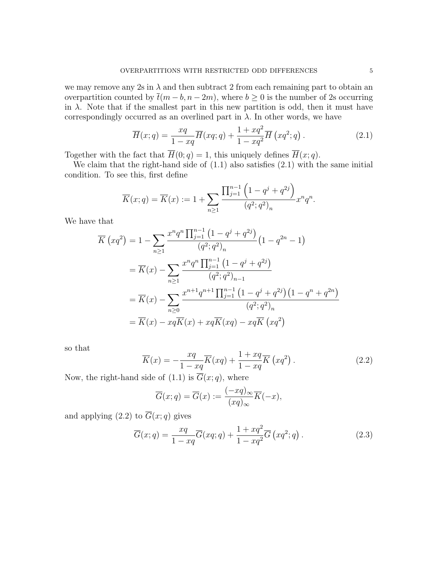we may remove any 2s in  $\lambda$  and then subtract 2 from each remaining part to obtain an overpartition counted by  $\bar{t}(m - b, n - 2m)$ , where  $b \ge 0$  is the number of 2s occurring in  $\lambda$ . Note that if the smallest part in this new partition is odd, then it must have correspondingly occurred as an overlined part in  $\lambda$ . In other words, we have

$$
\overline{H}(x;q) = \frac{xq}{1-xq}\overline{H}(xq;q) + \frac{1+xq^2}{1-xq^2}\overline{H}(xq^2;q).
$$
\n(2.1)

Together with the fact that  $\overline{H}(0; q) = 1$ , this uniquely defines  $\overline{H}(x; q)$ .

We claim that the right-hand side of  $(1.1)$  also satisfies  $(2.1)$  with the same initial condition. To see this, first define

$$
\overline{K}(x;q) = \overline{K}(x) := 1 + \sum_{n \ge 1} \frac{\prod_{j=1}^{n-1} \left(1 - q^j + q^{2j}\right)}{(q^2;q^2)_n} x^n q^n.
$$

We have that

$$
\overline{K}(xq^2) = 1 - \sum_{n\geq 1} \frac{x^n q^n \prod_{j=1}^{n-1} (1 - q^j + q^{2j})}{(q^2; q^2)_n} (1 - q^{2n} - 1)
$$
  
\n
$$
= \overline{K}(x) - \sum_{n\geq 1} \frac{x^n q^n \prod_{j=1}^{n-1} (1 - q^j + q^{2j})}{(q^2; q^2)_{n-1}}
$$
  
\n
$$
= \overline{K}(x) - \sum_{n\geq 0} \frac{x^{n+1} q^{n+1} \prod_{j=1}^{n-1} (1 - q^j + q^{2j}) (1 - q^n + q^{2n})}{(q^2; q^2)_n}
$$
  
\n
$$
= \overline{K}(x) - xq \overline{K}(x) + xq \overline{K}(xq) - xq \overline{K}(xq^2)
$$

so that

$$
\overline{K}(x) = -\frac{xq}{1-xq}\overline{K}(xq) + \frac{1+xq}{1-xq}\overline{K}(xq^2).
$$
 (2.2)

Now, the right-hand side of (1.1) is  $\overline{G}(x; q)$ , where

$$
\overline{G}(x;q) = \overline{G}(x) := \frac{(-xq)_{\infty}}{(xq)_{\infty}} \overline{K}(-x),
$$

and applying (2.2) to  $\overline{G}(x;q)$  gives

$$
\overline{G}(x;q) = \frac{xq}{1-xq}\overline{G}(xq;q) + \frac{1+xq^2}{1-xq^2}\overline{G}(xq^2;q).
$$
\n(2.3)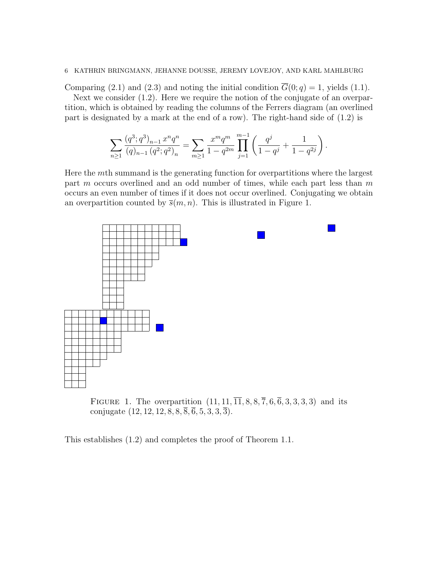Comparing (2.1) and (2.3) and noting the initial condition  $\overline{G}(0; q) = 1$ , yields (1.1). Next we consider (1.2). Here we require the notion of the conjugate of an overpar-

tition, which is obtained by reading the columns of the Ferrers diagram (an overlined part is designated by a mark at the end of a row). The right-hand side of (1.2) is

$$
\sum_{n\geq 1}\frac{(q^3;q^3)_{n-1}\,x^n q^n}{(q)_{n-1}\,(q^2;q^2)_n}=\sum_{m\geq 1}\frac{x^mq^m}{1-q^{2m}}\prod_{j=1}^{m-1}\left(\frac{q^j}{1-q^j}+\frac{1}{1-q^{2j}}\right).
$$

Here the mth summand is the generating function for overpartitions where the largest part m occurs overlined and an odd number of times, while each part less than m occurs an even number of times if it does not occur overlined. Conjugating we obtain an overpartition counted by  $\bar{s}(m, n)$ . This is illustrated in Figure 1.



FIGURE 1. The overpartition  $(11, 11, \overline{11}, 8, 8, \overline{7}, 6, \overline{6}, 3, 3, 3, 3)$  and its conjugate  $(12, 12, 12, 8, 8, \overline{8}, \overline{6}, 5, 3, 3, \overline{3}).$ 

This establishes (1.2) and completes the proof of Theorem 1.1.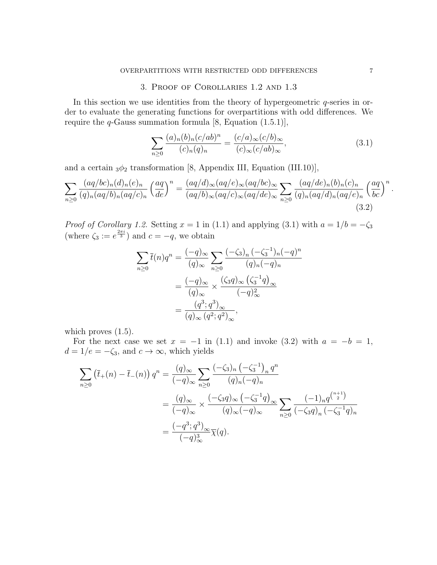# 3. Proof of Corollaries 1.2 and 1.3

In this section we use identities from the theory of hypergeometric q-series in order to evaluate the generating functions for overpartitions with odd differences. We require the  $q$ -Gauss summation formula [8, Equation (1.5.1)],

$$
\sum_{n\geq 0} \frac{(a)_n (b)_n (c/ab)^n}{(c)_n (q)_n} = \frac{(c/a)_{\infty} (c/b)_{\infty}}{(c)_{\infty} (c/ab)_{\infty}},
$$
\n(3.1)

and a certain  $_3\phi_2$  transformation [8, Appendix III, Equation (III.10)],

$$
\sum_{n\geq 0} \frac{(aq/bc)_n(d)_n(e)_n}{(q)_n(aq/b)_n(aq/c)_n} \left(\frac{aq}{de}\right)^n = \frac{(aq/d)_{\infty}(aq/e)_{\infty}(aq/bc)_{\infty}}{(aq/b)_{\infty}(aq/c)_{\infty}(aq/de)_{\infty}} \sum_{n\geq 0} \frac{(aq/de)_n(b)_n(c)_n}{(q)_n(aq/d)_n(aq/e)_n} \left(\frac{aq}{bc}\right)^n.
$$
\n(3.2)

*Proof of Corollary 1.2.* Setting  $x = 1$  in (1.1) and applying (3.1) with  $a = 1/b = -\zeta_3$ (where  $\zeta_3 := e^{\frac{2\pi i}{3}}$ ) and  $c = -q$ , we obtain

$$
\sum_{n\geq 0} \overline{t}(n)q^n = \frac{(-q)_{\infty}}{(q)_{\infty}} \sum_{n\geq 0} \frac{(-\zeta_3)_n (-\zeta_3^{-1})_n (-q)^n}{(q)_n (-q)_n}
$$

$$
= \frac{(-q)_{\infty}}{(q)_{\infty}} \times \frac{(\zeta_3 q)_{\infty} (\zeta_3^{-1} q)_{\infty}}{(-q)_{\infty}^2}
$$

$$
= \frac{(q^3; q^3)_{\infty}}{(q)_{\infty} (q^2; q^2)_{\infty}},
$$

which proves  $(1.5)$ .

For the next case we set  $x = -1$  in (1.1) and invoke (3.2) with  $a = -b = 1$ ,  $d = 1/e = -\zeta_3$ , and  $c \to \infty$ , which yields

$$
\sum_{n\geq 0} (\bar{t}_{+}(n) - \bar{t}_{-}(n)) q^{n} = \frac{(q)_{\infty}}{(-q)_{\infty}} \sum_{n\geq 0} \frac{(-\zeta_{3})_{n} (-\zeta_{3}^{-1})_{n} q^{n}}{(q)_{n} (-q)_{n}}
$$
  

$$
= \frac{(q)_{\infty}}{(-q)_{\infty}} \times \frac{(-\zeta_{3}q)_{\infty} (-\zeta_{3}^{-1}q)_{\infty}}{(q)_{\infty} (-q)_{\infty}} \sum_{n\geq 0} \frac{(-1)_{n} q^{\binom{n+1}{2}}}{(-\zeta_{3}q)_{n} (-\zeta_{3}^{-1}q)_{n}}
$$
  

$$
= \frac{(-q^{3}; q^{3})_{\infty}}{(-q)_{\infty}^{3}} \overline{\chi}(q).
$$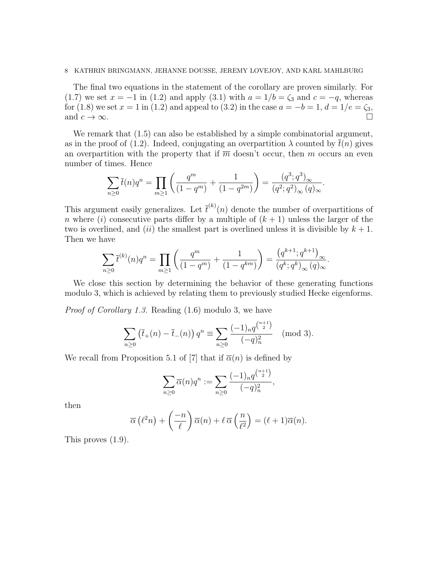The final two equations in the statement of the corollary are proven similarly. For (1.7) we set  $x = -1$  in (1.2) and apply (3.1) with  $a = 1/b = \zeta_3$  and  $c = -q$ , whereas for (1.8) we set  $x = 1$  in (1.2) and appeal to (3.2) in the case  $a = -b = 1, d = 1/e = \zeta_3$ , and  $c \to \infty$ .

We remark that  $(1.5)$  can also be established by a simple combinatorial argument, as in the proof of (1.2). Indeed, conjugating an overpartition  $\lambda$  counted by  $t(n)$  gives an overpartition with the property that if  $\overline{m}$  doesn't occur, then m occurs an even number of times. Hence

$$
\sum_{n\geq 0} \overline{t}(n)q^n = \prod_{m\geq 1} \left( \frac{q^m}{(1-q^m)} + \frac{1}{(1-q^{2m})} \right) = \frac{(q^3;q^3)_{\infty}}{(q^2;q^2)_{\infty}(q)_{\infty}}.
$$

This argument easily generalizes. Let  $\bar{t}^{(k)}(n)$  denote the number of overpartitions of n where (i) consecutive parts differ by a multiple of  $(k + 1)$  unless the larger of the two is overlined, and (ii) the smallest part is overlined unless it is divisible by  $k + 1$ . Then we have

$$
\sum_{n\geq 0} \overline{t}^{(k)}(n)q^n = \prod_{m\geq 1} \left( \frac{q^m}{(1-q^m)} + \frac{1}{(1-q^{km})} \right) = \frac{\left(q^{k+1};q^{k+1}\right)_{\infty}}{\left(q^k;q^k\right)_{\infty}(q)_{\infty}}.
$$

We close this section by determining the behavior of these generating functions modulo 3, which is achieved by relating them to previously studied Hecke eigenforms.

Proof of Corollary 1.3. Reading (1.6) modulo 3, we have

$$
\sum_{n\geq 0} \left(\overline{t}_+(n) - \overline{t}_-(n)\right) q^n \equiv \sum_{n\geq 0} \frac{(-1)_n q^{\binom{n+1}{2}}}{(-q)_n^2} \pmod{3}.
$$

We recall from Proposition 5.1 of [7] that if  $\overline{\alpha}(n)$  is defined by

$$
\sum_{n\geq 0} \overline{\alpha}(n) q^n := \sum_{n\geq 0} \frac{(-1)_n q^{\binom{n+1}{2}}}{(-q)_n^2},
$$

then

$$
\overline{\alpha}\left(\ell^2 n\right) + \left(\frac{-n}{\ell}\right)\overline{\alpha}(n) + \ell \,\overline{\alpha}\left(\frac{n}{\ell^2}\right) = (\ell+1)\overline{\alpha}(n).
$$

This proves (1.9).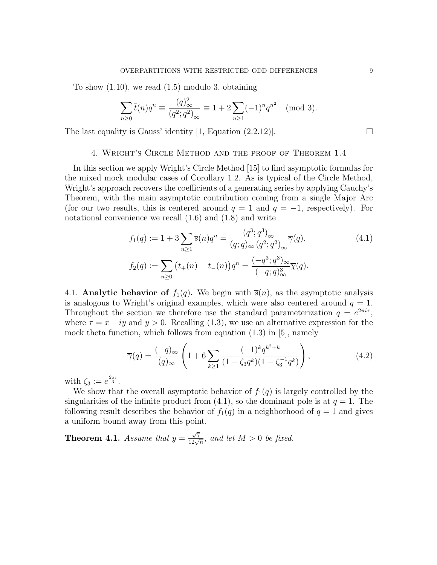To show  $(1.10)$ , we read  $(1.5)$  modulo 3, obtaining

$$
\sum_{n\geq 0} \bar{t}(n)q^n \equiv \frac{(q)_{\infty}^2}{(q^2;q^2)_{\infty}} \equiv 1 + 2\sum_{n\geq 1} (-1)^n q^{n^2} \pmod{3}.
$$

The last equality is Gauss' identity [1, Equation (2.2.12)].  $\Box$ 

# 4. Wright's Circle Method and the proof of Theorem 1.4

In this section we apply Wright's Circle Method [15] to find asymptotic formulas for the mixed mock modular cases of Corollary 1.2. As is typical of the Circle Method, Wright's approach recovers the coefficients of a generating series by applying Cauchy's Theorem, with the main asymptotic contribution coming from a single Major Arc (for our two results, this is centered around  $q = 1$  and  $q = -1$ , respectively). For notational convenience we recall  $(1.6)$  and  $(1.8)$  and write

$$
f_1(q) := 1 + 3 \sum_{n \ge 1} \overline{s}(n) q^n = \frac{(q^3; q^3)_{\infty}}{(q; q)_{\infty} (q^2; q^2)_{\infty}} \overline{\gamma}(q),
$$
  
\n
$$
f_2(q) := \sum_{n \ge 0} (\overline{t}_+(n) - \overline{t}_-(n)) q^n = \frac{(-q^3; q^3)_{\infty}}{(-q; q)^3_{\infty}} \overline{\chi}(q).
$$
\n
$$
(4.1)
$$

4.1. Analytic behavior of  $f_1(q)$ . We begin with  $\bar{s}(n)$ , as the asymptotic analysis is analogous to Wright's original examples, which were also centered around  $q = 1$ . Throughout the section we therefore use the standard parameterization  $q = e^{2\pi i \tau}$ , where  $\tau = x + iy$  and  $y > 0$ . Recalling (1.3), we use an alternative expression for the mock theta function, which follows from equation (1.3) in [5], namely

$$
\overline{\gamma}(q) = \frac{(-q)_{\infty}}{(q)_{\infty}} \left( 1 + 6 \sum_{k \ge 1} \frac{(-1)^k q^{k^2 + k}}{(1 - \zeta_3 q^k)(1 - \zeta_3^{-1} q^k)} \right), \tag{4.2}
$$

with  $\zeta_3 := e^{\frac{2\pi i}{3}}$ .

We show that the overall asymptotic behavior of  $f_1(q)$  is largely controlled by the singularities of the infinite product from  $(4.1)$ , so the dominant pole is at  $q = 1$ . The following result describes the behavior of  $f_1(q)$  in a neighborhood of  $q = 1$  and gives a uniform bound away from this point.

**Theorem 4.1.** Assume that  $y =$  $\frac{\sqrt{7}}{12\sqrt{n}}$ , and let  $M > 0$  be fixed.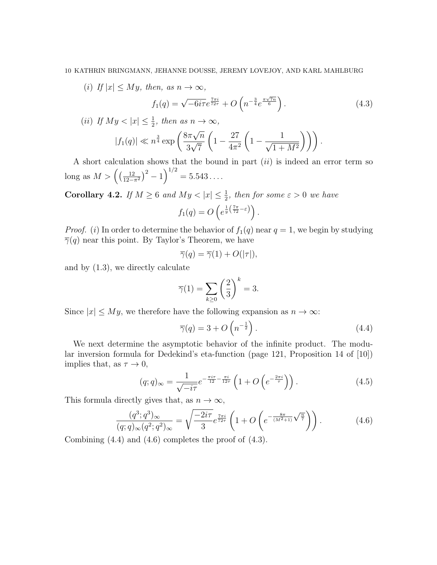(i) If  $|x| \leq My$ , then, as  $n \to \infty$ ,

$$
f_1(q) = \sqrt{-6i\tau}e^{\frac{7\pi i}{72\tau}} + O\left(n^{-\frac{3}{4}}e^{\frac{\pi\sqrt{7n}}{6}}\right).
$$
 (4.3)

(ii) If 
$$
My < |x| \le \frac{1}{2}
$$
, then as  $n \to \infty$ ,  
 $|f_1(q)| \ll n^{\frac{3}{4}} \exp\left(\frac{8\pi\sqrt{n}}{2\sqrt{\pi}}\left(1 - \frac{27}{4\sqrt{3}}\right)\left(1 - \frac{1}{\sqrt{3}}\right)\right)$ 

$$
|f_1(q)| \ll n^{\frac{3}{4}} \exp\left(\frac{8\pi\sqrt{n}}{3\sqrt{7}} \left(1 - \frac{27}{4\pi^2} \left(1 - \frac{1}{\sqrt{1 + M^2}}\right)\right)\right).
$$

A short calculation shows that the bound in part  $(ii)$  is indeed an error term so long as  $M > \left(\frac{12}{12}\right)$  $\frac{12}{12-\pi^2}$  $\Big)^2 - 1$  $\Big)^{1/2} = 5.543\dots$ 

**Corollary 4.2.** If  $M \geq 6$  and  $My < |x| \leq \frac{1}{2}$ , then for some  $\varepsilon > 0$  we have

$$
f_1(q) = O\left(e^{\frac{1}{y}\left(\frac{7\pi}{72}-\varepsilon\right)}\right).
$$

*Proof.* (i) In order to determine the behavior of  $f_1(q)$  near  $q = 1$ , we begin by studying  $\overline{\gamma}(q)$  near this point. By Taylor's Theorem, we have

$$
\overline{\gamma}(q) = \overline{\gamma}(1) + O(|\tau|),
$$

and by (1.3), we directly calculate

$$
\overline{\gamma}(1) = \sum_{k \ge 0} \left(\frac{2}{3}\right)^k = 3.
$$

Since  $|x| \leq My$ , we therefore have the following expansion as  $n \to \infty$ :

$$
\overline{\gamma}(q) = 3 + O\left(n^{-\frac{1}{2}}\right). \tag{4.4}
$$

We next determine the asymptotic behavior of the infinite product. The modular inversion formula for Dedekind's eta-function (page 121, Proposition 14 of [10]) implies that, as  $\tau \to 0$ ,

$$
(q;q)_{\infty} = \frac{1}{\sqrt{-i\tau}} e^{-\frac{\pi i\tau}{12} - \frac{\pi i}{12\tau}} \left(1 + O\left(e^{-\frac{2\pi i}{\tau}}\right)\right). \tag{4.5}
$$

This formula directly gives that, as  $n \to \infty$ ,

$$
\frac{(q^3;q^3)_{\infty}}{(q;q)_{\infty}(q^2;q^2)_{\infty}} = \sqrt{\frac{-2i\tau}{3}} e^{\frac{7\pi i}{72\tau}} \left(1 + O\left(e^{-\frac{8\pi}{(M^2+1)}\sqrt{\frac{n}{7}}}\right)\right).
$$
(4.6)

Combining (4.4) and (4.6) completes the proof of (4.3).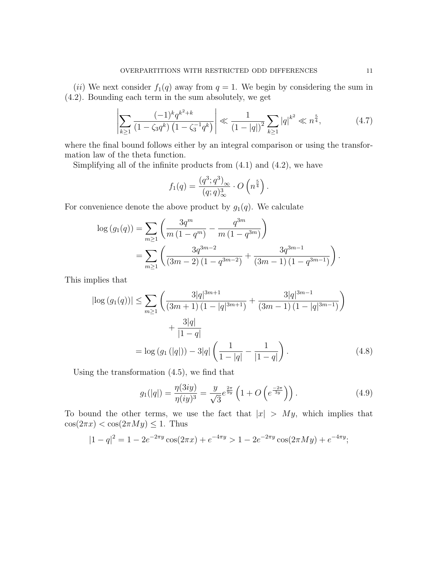(ii) We next consider  $f_1(q)$  away from  $q = 1$ . We begin by considering the sum in (4.2). Bounding each term in the sum absolutely, we get

$$
\left| \sum_{k\geq 1} \frac{(-1)^k q^{k^2 + k}}{(1 - \zeta_3 q^k) \left(1 - \zeta_3^{-1} q^k\right)} \right| \ll \frac{1}{\left(1 - |q|\right)^2} \sum_{k\geq 1} |q|^{k^2} \ll n^{\frac{5}{4}},\tag{4.7}
$$

where the final bound follows either by an integral comparison or using the transformation law of the theta function.

Simplifying all of the infinite products from  $(4.1)$  and  $(4.2)$ , we have

$$
f_1(q) = \frac{(q^3; q^3)_{\infty}}{(q; q)^3_{\infty}} \cdot O\left(n^{\frac{5}{4}}\right).
$$

For convenience denote the above product by  $g_1(q)$ . We calculate

$$
\log (g_1(q)) = \sum_{m \ge 1} \left( \frac{3q^m}{m (1 - q^m)} - \frac{q^{3m}}{m (1 - q^{3m})} \right)
$$
  
= 
$$
\sum_{m \ge 1} \left( \frac{3q^{3m-2}}{(3m-2) (1 - q^{3m-2})} + \frac{3q^{3m-1}}{(3m-1) (1 - q^{3m-1})} \right).
$$

This implies that

$$
\left|\log\left(g_1(q)\right)\right| \le \sum_{m\ge 1} \left(\frac{3|q|^{3m+1}}{(3m+1)(1-|q|^{3m+1})} + \frac{3|q|^{3m-1}}{(3m-1)(1-|q|^{3m-1})}\right) + \frac{3|q|}{|1-q|} = \log\left(g_1\left(|q|\right)\right) - 3|q| \left(\frac{1}{1-|q|} - \frac{1}{|1-q|}\right). \tag{4.8}
$$

Using the transformation (4.5), we find that

$$
g_1(|q|) = \frac{\eta(3iy)}{\eta(iy)^3} = \frac{y}{\sqrt{3}} e^{\frac{2\pi}{9y}} \left( 1 + O\left(e^{\frac{-2\pi}{3y}}\right) \right). \tag{4.9}
$$

To bound the other terms, we use the fact that  $|x| > My$ , which implies that  $cos(2\pi x) < cos(2\pi My) \leq 1$ . Thus

$$
|1 - q|^2 = 1 - 2e^{-2\pi y} \cos(2\pi x) + e^{-4\pi y} > 1 - 2e^{-2\pi y} \cos(2\pi M y) + e^{-4\pi y};
$$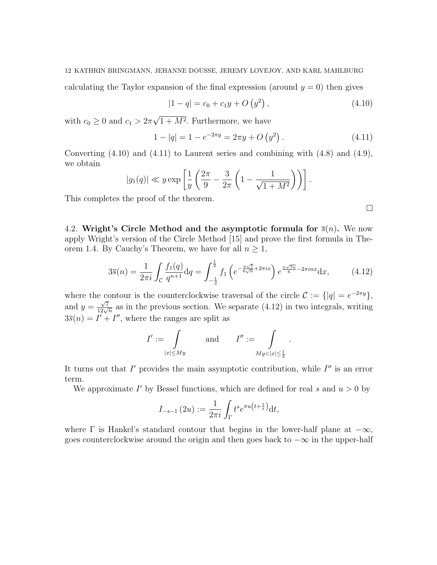calculating the Taylor expansion of the final expression (around  $y = 0$ ) then gives

$$
|1 - q| = c_0 + c_1 y + O(y^2), \qquad (4.10)
$$

with  $c_0 \geq 0$  and  $c_1 > 2\pi$ √  $1 + M^2$ . Furthermore, we have

$$
1 - |q| = 1 - e^{-2\pi y} = 2\pi y + O(y^2).
$$
 (4.11)

Converting  $(4.10)$  and  $(4.11)$  to Laurent series and combining with  $(4.8)$  and  $(4.9)$ , we obtain

$$
|g_1(q)| \ll y \exp\left[\frac{1}{y}\left(\frac{2\pi}{9} - \frac{3}{2\pi}\left(1 - \frac{1}{\sqrt{1 + M^2}}\right)\right)\right].
$$

This completes the proof of the theorem.

4.2. Wright's Circle Method and the asymptotic formula for  $\bar{s}(n)$ . We now apply Wright's version of the Circle Method [15] and prove the first formula in Theorem 1.4. By Cauchy's Theorem, we have for all  $n \geq 1$ ,

$$
3\overline{s}(n) = \frac{1}{2\pi i} \int_{\mathcal{C}} \frac{f_1(q)}{q^{n+1}} dq = \int_{-\frac{1}{2}}^{\frac{1}{2}} f_1\left(e^{-\frac{\pi\sqrt{7}}{6\sqrt{n}} + 2\pi ix}\right) e^{\frac{\pi\sqrt{7n}}{6} - 2\pi i nx} dx, \tag{4.12}
$$

where the contour is the counterclockwise traversal of the circle  $\mathcal{C} := \{ |q| = e^{-2\pi y} \},\$ and  $y = \frac{\sqrt{7}}{12\sqrt{n}}$  as in the previous section. We separate (4.12) in two integrals, writing  $3\bar{s}(n) = I' + I''$ , where the ranges are split as

$$
I':=\int\limits_{|x|\le My}\qquad\text{and}\qquad I'':=\int\limits_{My<|x|\le\frac{1}{2}}.
$$

It turns out that  $I'$  provides the main asymptotic contribution, while  $I''$  is an error term.

We approximate  $I'$  by Bessel functions, which are defined for real s and  $u > 0$  by

$$
I_{-s-1}(2u) := \frac{1}{2\pi i} \int_{\Gamma} t^s e^{\pi u \left(t + \frac{1}{t}\right)} dt,
$$

where  $\Gamma$  is Hankel's standard contour that begins in the lower-half plane at  $-\infty$ , goes counterclockwise around the origin and then goes back to  $-\infty$  in the upper-half

 $\Box$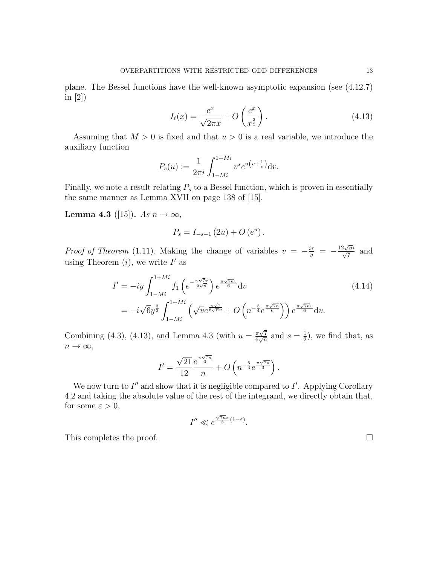plane. The Bessel functions have the well-known asymptotic expansion (see (4.12.7) in [2])

$$
I_{\ell}(x) = \frac{e^x}{\sqrt{2\pi x}} + O\left(\frac{e^x}{x^{\frac{3}{2}}}\right). \tag{4.13}
$$

Assuming that  $M > 0$  is fixed and that  $u > 0$  is a real variable, we introduce the auxiliary function

$$
P_s(u) := \frac{1}{2\pi i} \int_{1-Mi}^{1+Mi} v^s e^{u\left(v + \frac{1}{v}\right)} dv.
$$

Finally, we note a result relating  $P_s$  to a Bessel function, which is proven in essentially the same manner as Lemma XVII on page 138 of [15].

**Lemma 4.3** ([15]). As  $n \to \infty$ ,

$$
P_s = I_{-s-1}(2u) + O(e^u).
$$

*Proof of Theorem* (1.11). Making the change of variables  $v = -\frac{i\tau}{y}$  = −  $\frac{12\sqrt{n}i}{\sqrt{7}}$  and using Theorem  $(i)$ , we write  $I'$  as

$$
I' = -iy \int_{1-Mi}^{1+Mi} f_1\left(e^{-\frac{\pi\sqrt{7}v}{6\sqrt{n}}}\right) e^{\frac{\pi\sqrt{7}nv}{6}} dv
$$
\n
$$
= -i\sqrt{6}y^{\frac{3}{2}} \int_{1-Mi}^{1+Mi} \left(\sqrt{v}e^{\frac{\pi\sqrt{7}}{6\sqrt{n}v}} + O\left(n^{-\frac{3}{4}}e^{\frac{\pi\sqrt{7}n}{6}}\right)\right) e^{\frac{\pi\sqrt{7}nv}{6}} dv.
$$
\n(4.14)

Combining (4.3), (4.13), and Lemma 4.3 (with  $u = \frac{\pi\sqrt{7}}{6\sqrt{2}}$  $\frac{\pi\sqrt{7}}{6\sqrt{n}}$  and  $s=\frac{1}{2}$  $(\frac{1}{2})$ , we find that, as  $n \to \infty$ ,

$$
I' = \frac{\sqrt{21}}{12} \frac{e^{\frac{\pi \sqrt{7n}}{3}}}{n} + O\left(n^{-\frac{5}{4}} e^{\frac{\pi \sqrt{7n}}{3}}\right).
$$

We now turn to  $I''$  and show that it is negligible compared to  $I'$ . Applying Corollary 4.2 and taking the absolute value of the rest of the integrand, we directly obtain that, for some  $\varepsilon > 0$ ,

$$
I'' \ll e^{\frac{\sqrt{7n}\pi}{3}(1-\varepsilon)}.
$$

This completes the proof.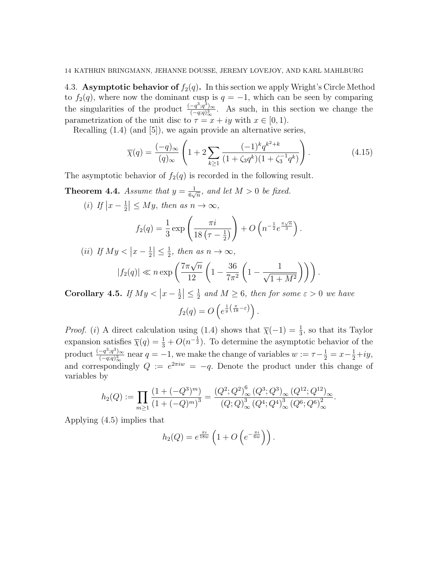4.3. Asymptotic behavior of  $f_2(q)$ . In this section we apply Wright's Circle Method to  $f_2(q)$ , where now the dominant cusp is  $q = -1$ , which can be seen by comparing the singularities of the product  $\frac{(-q^3;q^3)_{\infty}}{(-q;q)^3}$  $\frac{-q^{\circ};q^{\circ}\rangle_{\infty}}{(-q;q)_{\infty}^{3}}$ . As such, in this section we change the parametrization of the unit disc to  $\tau = x + iy$  with  $x \in [0, 1)$ .

Recalling (1.4) (and [5]), we again provide an alternative series,

$$
\overline{\chi}(q) = \frac{(-q)_{\infty}}{(q)_{\infty}} \left( 1 + 2 \sum_{k \ge 1} \frac{(-1)^k q^{k^2 + k}}{(1 + \zeta_3 q^k)(1 + \zeta_3^{-1} q^k)} \right). \tag{4.15}
$$

The asymptotic behavior of  $f_2(q)$  is recorded in the following result.

**Theorem 4.4.** Assume that  $y = \frac{1}{6}$  $\frac{1}{6\sqrt{n}}$ , and let  $M > 0$  be fixed.

(*i*) If  $|x-\frac{1}{2}|$  $\frac{1}{2} \leq My$ , then as  $n \to \infty$ ,

$$
f_2(q) = \frac{1}{3} \exp\left(\frac{\pi i}{18\left(\tau - \frac{1}{2}\right)}\right) + O\left(n^{-\frac{1}{2}}e^{\frac{\pi\sqrt{n}}{3}}\right).
$$

(ii) If 
$$
My < |x - \frac{1}{2}| \le \frac{1}{2}
$$
, then as  $n \to \infty$ ,  
\n
$$
|f_2(q)| \ll n \exp\left(\frac{7\pi\sqrt{n}}{12}\left(1 - \frac{36}{7\pi^2}\left(1 - \frac{1}{\sqrt{1 + M^2}}\right)\right)\right).
$$

Corollary 4.5. If  $My < |x - \frac{1}{2}|$  $\frac{1}{2} \leq \frac{1}{2}$  $\frac{1}{2}$  and  $M \geq 6$ , then for some  $\varepsilon > 0$  we have  $f_2(q) = O\left(e^{\frac{1}{y}\left(\frac{\pi}{18}-\varepsilon\right)}\right).$ 

*Proof.* (i) A direct calculation using (1.4) shows that  $\overline{\chi}(-1) = \frac{1}{3}$ , so that its Taylor expansion satisfies  $\overline{\chi}(q) = \frac{1}{3} + O(n^{-\frac{1}{2}})$ . To determine the asymptotic behavior of the product  $\frac{(-q^3;q^3)_{\infty}}{(-q;q)^3}$  $\frac{(-q^3;q^3)_{\infty}}{(-q;q)^3_{\infty}}$  near  $q=-1$ , we make the change of variables  $w:=\tau-\frac{1}{2}=x-\frac{1}{2}+iy$ , and correspondingly  $Q := e^{2\pi i w} = -q$ . Denote the product under this change of variables by

$$
h_2(Q) := \prod_{m \ge 1} \frac{\left(1 + (-Q^3)^m\right)}{\left(1 + (-Q)^m\right)^3} = \frac{\left(Q^2; Q^2\right)_\infty^6 \left(Q^3; Q^3\right)_\infty \left(Q^{12}; Q^{12}\right)_\infty}{\left(Q; Q\right)_\infty^3 \left(Q^4; Q^4\right)_\infty^3 \left(Q^6; Q^6\right)_\infty^2}.
$$

Applying (4.5) implies that

$$
h_2(Q) = e^{\frac{\pi i}{18w}} \left( 1 + O\left(e^{-\frac{\pi i}{6w}}\right)\right).
$$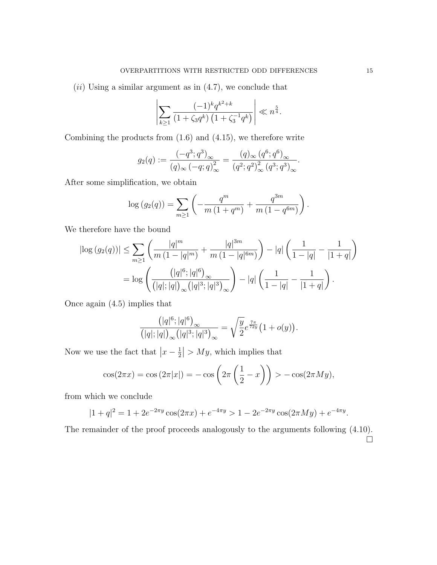$(ii)$  Using a similar argument as in  $(4.7)$ , we conclude that

$$
\left| \sum_{k \ge 1} \frac{(-1)^k q^{k^2 + k}}{(1 + \zeta_3 q^k) \left(1 + \zeta_3^{-1} q^k\right)} \right| \ll n^{\frac{5}{4}}.
$$

Combining the products from (1.6) and (4.15), we therefore write

$$
g_2(q) := \frac{(-q^3; q^3)_{\infty}}{(q)_{\infty} (-q; q)^2_{\infty}} = \frac{(q)_{\infty} (q^6; q^6)_{\infty}}{(q^2; q^2)^2_{\infty} (q^3; q^3)_{\infty}}.
$$

After some simplification, we obtain

$$
\log (g_2(q)) = \sum_{m \ge 1} \left( -\frac{q^m}{m(1 + q^m)} + \frac{q^{3m}}{m(1 - q^{6m})} \right).
$$

We therefore have the bound

$$
\left| \log (g_2(q)) \right| \leq \sum_{m \geq 1} \left( \frac{|q|^m}{m \left( 1 - |q|^m \right)} + \frac{|q|^{3m}}{m \left( 1 - |q|^{6m} \right)} \right) - |q| \left( \frac{1}{1 - |q|} - \frac{1}{|1 + q|} \right)
$$
  
= 
$$
\log \left( \frac{\left( |q|^6; |q|^6 \right)}{\left( |q|; |q| \right)_{\infty} \left( |q|^3; |q|^3 \right)_{\infty}} \right) - |q| \left( \frac{1}{1 - |q|} - \frac{1}{|1 + q|} \right).
$$

Once again (4.5) implies that

$$
\frac{\left(|q|^6;|q|^6\right)_{\infty}}{\left(|q|;|q|\right)_{\infty}\left(|q|^3;|q|^3\right)_{\infty}}=\sqrt{\frac{y}{2}}e^{\frac{7\pi}{72y}}\left(1+o(y)\right).
$$

Now we use the fact that  $|x-\frac{1}{2}\rangle$  $\frac{1}{2}$  > My, which implies that

$$
\cos(2\pi x) = \cos(2\pi|x|) = -\cos\left(2\pi\left(\frac{1}{2} - x\right)\right) > -\cos(2\pi My),
$$

from which we conclude

$$
|1+q|^2 = 1 + 2e^{-2\pi y}\cos(2\pi x) + e^{-4\pi y} > 1 - 2e^{-2\pi y}\cos(2\pi M y) + e^{-4\pi y}.
$$

The remainder of the proof proceeds analogously to the arguments following  $(4.10)$ .  $\Box$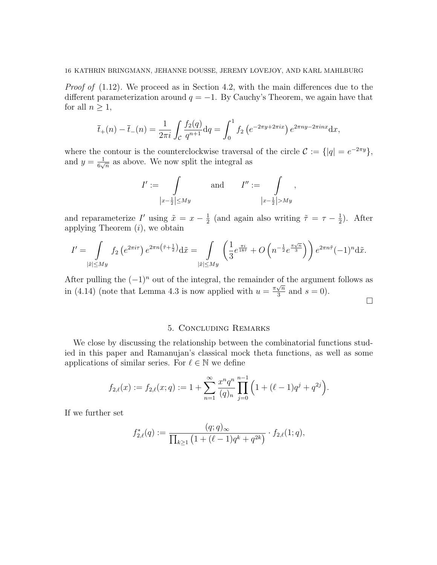Proof of  $(1.12)$ . We proceed as in Section 4.2, with the main differences due to the different parameterization around  $q = -1$ . By Cauchy's Theorem, we again have that for all  $n \geq 1$ ,

$$
\bar{t}_+(n) - \bar{t}_-(n) = \frac{1}{2\pi i} \int_{\mathcal{C}} \frac{f_2(q)}{q^{n+1}} dq = \int_0^1 f_2\left(e^{-2\pi y + 2\pi ix}\right) e^{2\pi ny - 2\pi inx} dx,
$$

where the contour is the counterclockwise traversal of the circle  $\mathcal{C} := \{ |q| = e^{-2\pi y} \},\$ and  $y = \frac{1}{6}$  $\frac{1}{6\sqrt{n}}$  as above. We now split the integral as

$$
I' := \int\limits_{\left|x-\frac{1}{2}\right|\le My} \text{ and } I'' := \int\limits_{\left|x-\frac{1}{2}\right|> My},
$$

and reparameterize I' using  $\tilde{x} = x - \frac{1}{2}$  $\frac{1}{2}$  (and again also writing  $\tilde{\tau} = \tau - \frac{1}{2}$  $(\frac{1}{2})$ . After applying Theorem  $(i)$ , we obtain

$$
I' = \int\limits_{|\tilde{x}| \le My} f_2 \left( e^{2\pi i \tau} \right) e^{2\pi n \left( \tilde{\tau} + \frac{1}{2} \right)} d\tilde{x} = \int\limits_{|\tilde{x}| \le My} \left( \frac{1}{3} e^{\frac{\pi i}{18\tilde{\tau}}} + O\left( n^{-\frac{1}{2}} e^{\frac{\pi \sqrt{n}}{3}} \right) \right) e^{2\pi n \tilde{\tau}} (-1)^n d\tilde{x}.
$$

After pulling the  $(-1)^n$  out of the integral, the remainder of the argument follows as in (4.14) (note that Lemma 4.3 is now applied with  $u = \frac{\pi \sqrt{n}}{3}$  $\frac{\sqrt{n}}{3}$  and  $s = 0$ ).

 $\Box$ 

# 5. Concluding Remarks

We close by discussing the relationship between the combinatorial functions studied in this paper and Ramanujan's classical mock theta functions, as well as some applications of similar series. For  $\ell \in \mathbb{N}$  we define

$$
f_{2,\ell}(x) := f_{2,\ell}(x;q) := 1 + \sum_{n=1}^{\infty} \frac{x^n q^n}{(q)_n} \prod_{j=0}^{n-1} \left( 1 + (\ell-1)q^j + q^{2j} \right).
$$

If we further set

$$
f_{2,\ell}^*(q) := \frac{(q;q)_{\infty}}{\prod_{k\geq 1} \left(1 + (\ell-1)q^k + q^{2k}\right)} \cdot f_{2,\ell}(1;q),
$$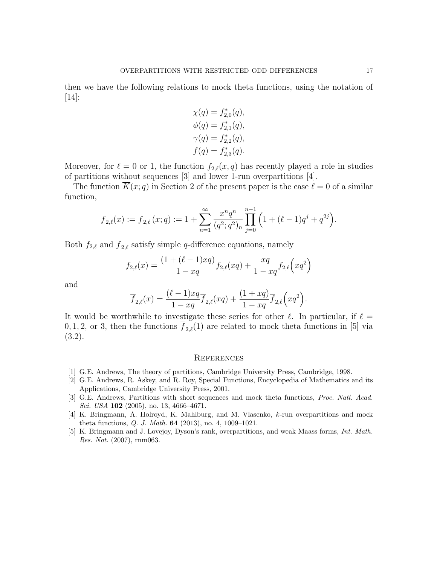then we have the following relations to mock theta functions, using the notation of [14]:

$$
\chi(q) = f_{2,0}^*(q), \n\phi(q) = f_{2,1}^*(q), \n\gamma(q) = f_{2,2}^*(q), \nf(q) = f_{2,3}^*(q).
$$

Moreover, for  $\ell = 0$  or 1, the function  $f_{2,\ell}(x, q)$  has recently played a role in studies of partitions without sequences [3] and lower 1-run overpartitions [4].

The function  $\overline{K}(x; q)$  in Section 2 of the present paper is the case  $\ell = 0$  of a similar function,

$$
\overline{f}_{2,\ell}(x) := \overline{f}_{2,\ell}(x;q) := 1 + \sum_{n=1}^{\infty} \frac{x^n q^n}{(q^2;q^2)_n} \prod_{j=0}^{n-1} \left( 1 + (\ell-1)q^j + q^{2j} \right).
$$

Both  $f_{2,\ell}$  and  $\overline{f}_{2,\ell}$  satisfy simple q-difference equations, namely

$$
f_{2,\ell}(x) = \frac{(1 + (\ell - 1)xq)}{1 - xq} f_{2,\ell}(xq) + \frac{xq}{1 - xq} f_{2,\ell}(xq^2)
$$

and

$$
\overline{f}_{2,\ell}(x) = \frac{(\ell-1)xq}{1-xq} \overline{f}_{2,\ell}(xq) + \frac{(1+xq)}{1-xq} \overline{f}_{2,\ell}(xq^2).
$$

It would be worthwhile to investigate these series for other  $\ell$ . In particular, if  $\ell =$ 0, 1, 2, or 3, then the functions  $\overline{f}_{2,\ell}(1)$  are related to mock theta functions in [5] via (3.2).

#### **REFERENCES**

- [1] G.E. Andrews, The theory of partitions, Cambridge University Press, Cambridge, 1998.
- [2] G.E. Andrews, R. Askey, and R. Roy, Special Functions, Encyclopedia of Mathematics and its Applications, Cambridge University Press, 2001.
- [3] G.E. Andrews, Partitions with short sequences and mock theta functions, Proc. Natl. Acad. Sci. USA 102 (2005), no. 13, 4666-4671.
- [4] K. Bringmann, A. Holroyd, K. Mahlburg, and M. Vlasenko, k-run overpartitions and mock theta functions, Q. J. Math. 64 (2013), no. 4, 1009–1021.
- [5] K. Bringmann and J. Lovejoy, Dyson's rank, overpartitions, and weak Maass forms, Int. Math. Res. Not. (2007), rnm063.